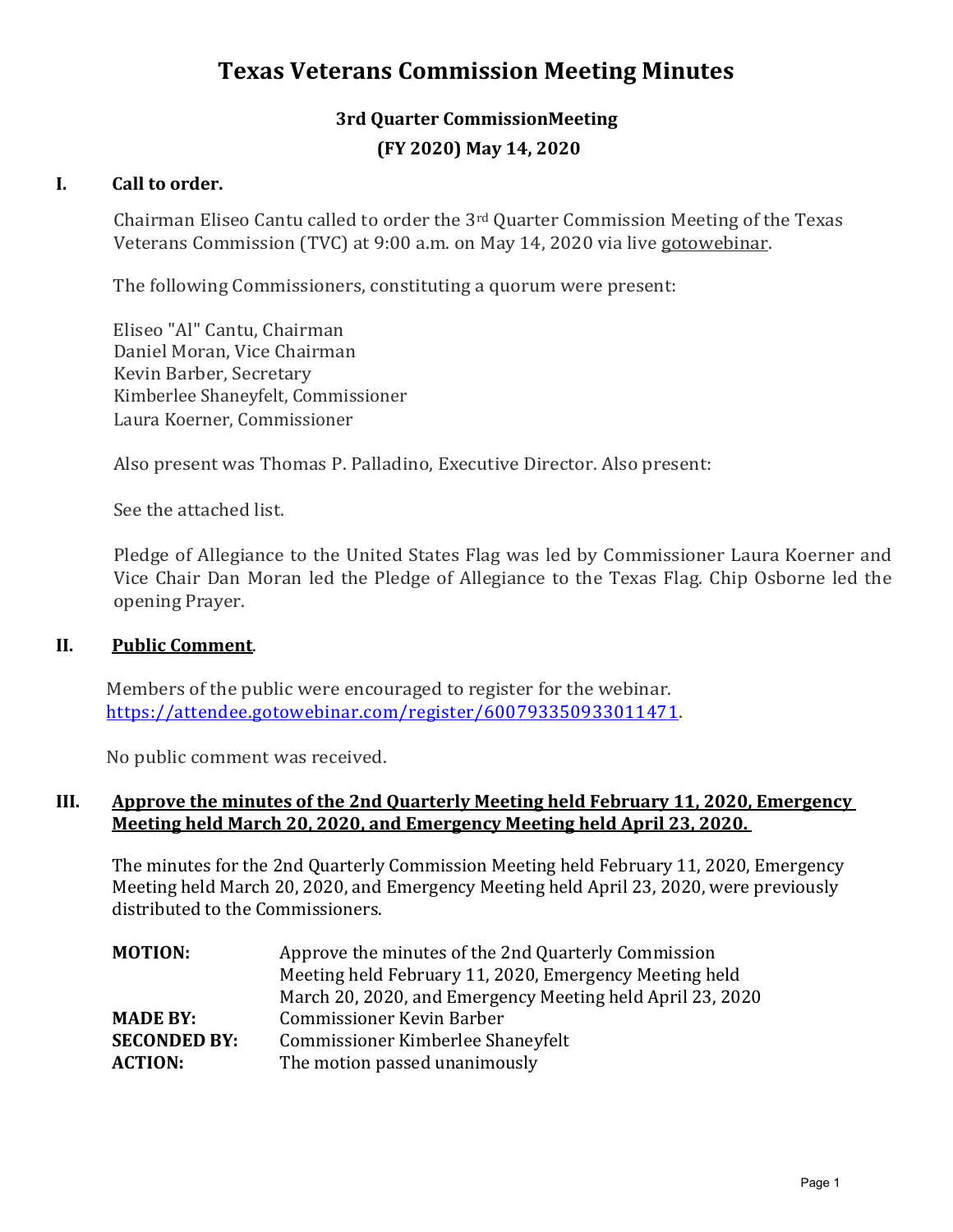# **Texas Veterans Commission Meeting Minutes**

## **3rd Quarter CommissionMeeting (FY 2020) May 14, 2020**

## **I. Call to order.**

Chairman Eliseo Cantu called to order the 3rd Quarter Commission Meeting of the Texas Veterans Commission (TVC) at 9:00 a.m. on May 14, 2020 via live gotowebinar.

The following Commissioners, constituting a quorum were present:

Eliseo "Al" Cantu, Chairman Daniel Moran, Vice Chairman Kevin Barber, Secretary Kimberlee Shaneyfelt, Commissioner Laura Koerner, Commissioner

Also present was Thomas P. Palladino, Executive Director. Also present:

See the attached list.

Pledge of Allegiance to the United States Flag was led by Commissioner Laura Koerner and Vice Chair Dan Moran led the Pledge of Allegiance to the Texas Flag. Chip Osborne led the opening Prayer.

#### **II. Public Comment**.

Members of the public were encouraged to register for the webinar. [https://attendee.gotowebinar.com/register/600793350933011471.](https://attendee.gotowebinar.com/register/600793350933011471)

No public comment was received.

#### **III. Approve the minutes of the 2nd Quarterly Meeting held February 11, 2020, Emergency Meeting held March 20, 2020, and Emergency Meeting held April 23, 2020.**

The minutes for the 2nd Quarterly Commission Meeting held February 11, 2020, Emergency Meeting held March 20, 2020, and Emergency Meeting held April 23, 2020, were previously distributed to the Commissioners.

| Approve the minutes of the 2nd Quarterly Commission       |
|-----------------------------------------------------------|
| Meeting held February 11, 2020, Emergency Meeting held    |
| March 20, 2020, and Emergency Meeting held April 23, 2020 |
| <b>Commissioner Kevin Barber</b>                          |
| Commissioner Kimberlee Shaneyfelt                         |
| The motion passed unanimously                             |
|                                                           |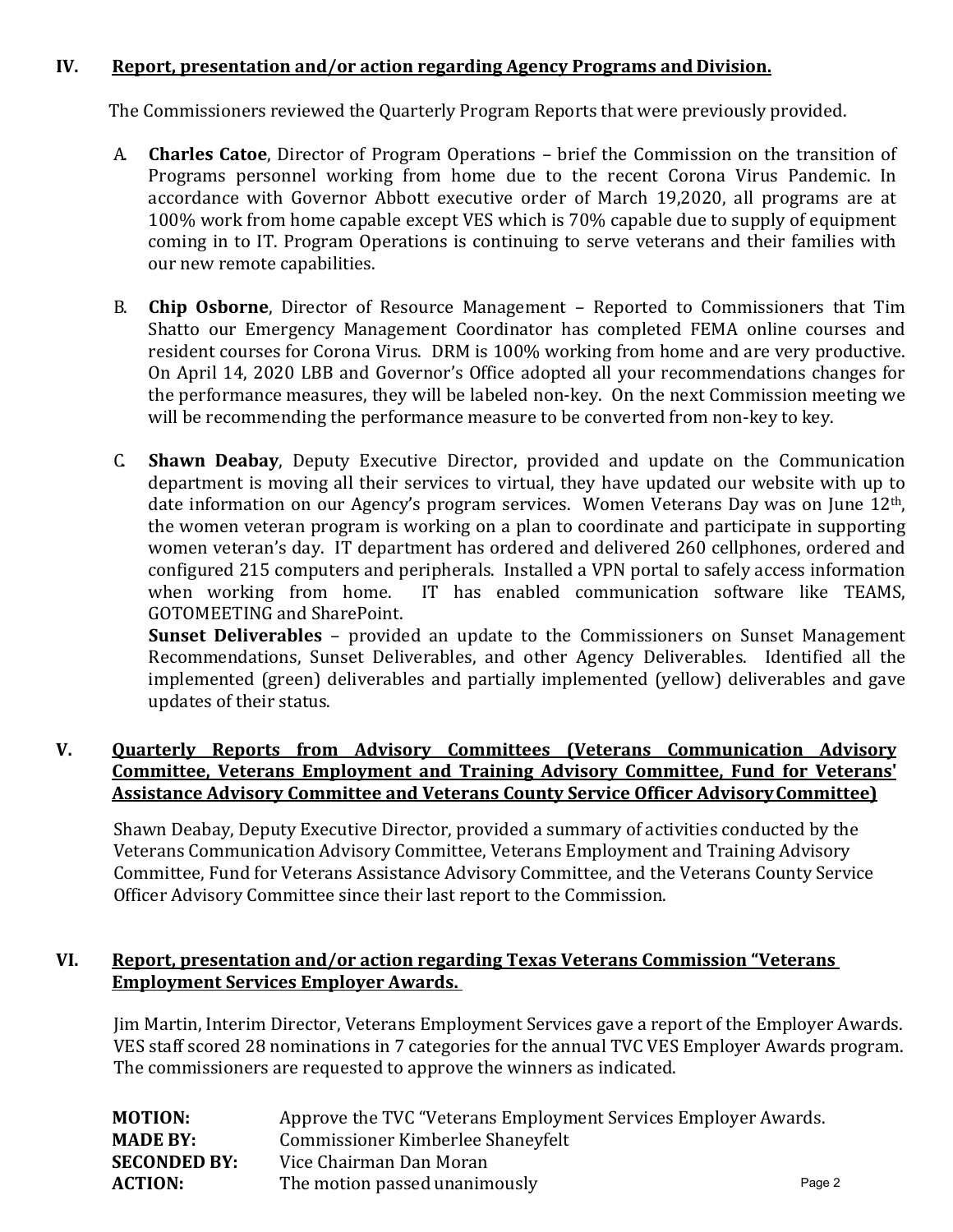## **IV. Report, presentation and/or action regarding Agency Programs and Division.**

The Commissioners reviewed the Quarterly Program Reports that were previously provided.

- A. **Charles Catoe**, Director of Program Operations brief the Commission on the transition of Programs personnel working from home due to the recent Corona Virus Pandemic. In accordance with Governor Abbott executive order of March 19,2020, all programs are at 100% work from home capable except VES which is 70% capable due to supply of equipment coming in to IT. Program Operations is continuing to serve veterans and their families with our new remote capabilities.
- B. **Chip Osborne**, Director of Resource Management Reported to Commissioners that Tim Shatto our Emergency Management Coordinator has completed FEMA online courses and resident courses for Corona Virus. DRM is 100% working from home and are very productive. On April 14, 2020 LBB and Governor's Office adopted all your recommendations changes for the performance measures, they will be labeled non-key. On the next Commission meeting we will be recommending the performance measure to be converted from non-key to key.
- C. **Shawn Deabay**, Deputy Executive Director, provided and update on the Communication department is moving all their services to virtual, they have updated our website with up to date information on our Agency's program services. Women Veterans Day was on June  $12<sup>th</sup>$ , the women veteran program is working on a plan to coordinate and participate in supporting women veteran's day. IT department has ordered and delivered 260 cellphones, ordered and configured 215 computers and peripherals. Installed a VPN portal to safely access information<br>when working from home. IT has enabled communication software like TEAMS, IT has enabled communication software like TEAMS, GOTOMEETING and SharePoint.

**Sunset Deliverables** – provided an update to the Commissioners on Sunset Management Recommendations, Sunset Deliverables, and other Agency Deliverables. Identified all the implemented (green) deliverables and partially implemented (yellow) deliverables and gave updates of their status.

## **V. Quarterly Reports from Advisory Committees (Veterans Communication Advisory Committee, Veterans Employment and Training Advisory Committee, Fund for Veterans' Assistance Advisory Committee and Veterans County Service Officer AdvisoryCommittee)**

Shawn Deabay, Deputy Executive Director, provided a summary of activities conducted by the Veterans Communication Advisory Committee, Veterans Employment and Training Advisory Committee, Fund for Veterans Assistance Advisory Committee, and the Veterans County Service Officer Advisory Committee since their last report to the Commission.

## **VI. Report, presentation and/or action regarding Texas Veterans Commission "Veterans Employment Services Employer Awards.**

Jim Martin, Interim Director, Veterans Employment Services gave a report of the Employer Awards. VES staff scored 28 nominations in 7 categories for the annual TVC VES Employer Awards program. The commissioners are requested to approve the winners as indicated.

| Approve the TVC "Veterans Employment Services Employer Awards. |        |
|----------------------------------------------------------------|--------|
| Commissioner Kimberlee Shaneyfelt                              |        |
| Vice Chairman Dan Moran                                        |        |
| The motion passed unanimously                                  | Page 2 |
|                                                                |        |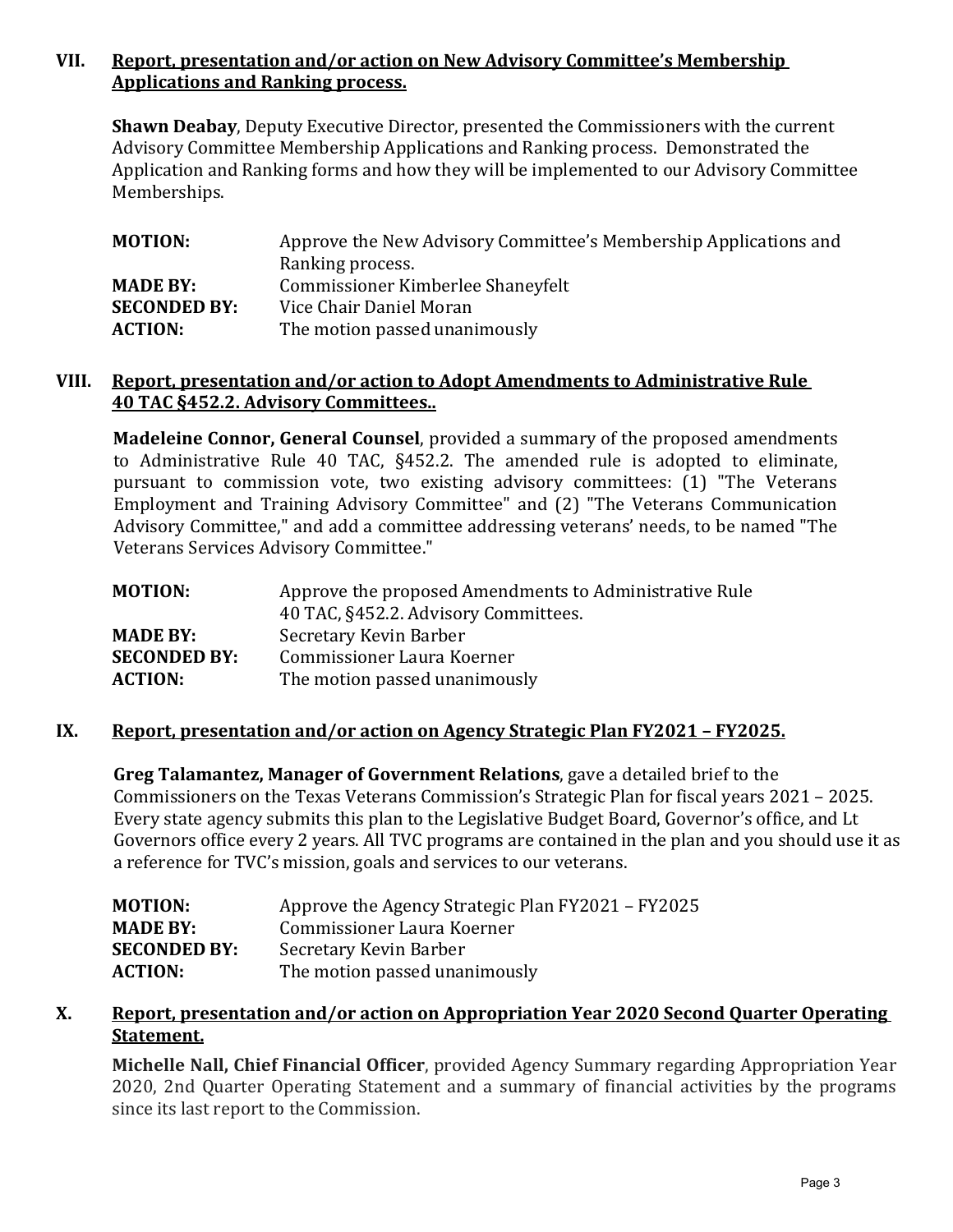## **VII. Report, presentation and/or action on New Advisory Committee's Membership Applications and Ranking process.**

**Shawn Deabay**, Deputy Executive Director, presented the Commissioners with the current Advisory Committee Membership Applications and Ranking process. Demonstrated the Application and Ranking forms and how they will be implemented to our Advisory Committee Memberships.

| <b>MOTION:</b>      | Approve the New Advisory Committee's Membership Applications and |
|---------------------|------------------------------------------------------------------|
|                     | Ranking process.                                                 |
| <b>MADE BY:</b>     | Commissioner Kimberlee Shaneyfelt                                |
| <b>SECONDED BY:</b> | Vice Chair Daniel Moran                                          |
| <b>ACTION:</b>      | The motion passed unanimously                                    |

#### **VIII. Report, presentation and/or action to Adopt Amendments to Administrative Rule 40 TAC §452.2. Advisory Committees..**

**Madeleine Connor, General Counsel**, provided a summary of the proposed amendments to Administrative Rule 40 TAC, §452.2. The amended rule is adopted to eliminate, pursuant to commission vote, two existing advisory committees: (1) "The Veterans Employment and Training Advisory Committee" and (2) "The Veterans Communication Advisory Committee," and add a committee addressing veterans' needs, to be named "The Veterans Services Advisory Committee."

| <b>MOTION:</b>                         | Approve the proposed Amendments to Administrative Rule<br>40 TAC, §452.2. Advisory Committees. |
|----------------------------------------|------------------------------------------------------------------------------------------------|
| <b>MADE BY:</b><br><b>SECONDED BY:</b> | Secretary Kevin Barber<br>Commissioner Laura Koerner                                           |
| <b>ACTION:</b>                         | The motion passed unanimously                                                                  |

#### **IX. Report, presentation and/or action on Agency Strategic Plan FY2021 – FY2025.**

**Greg Talamantez, Manager of Government Relations**, gave a detailed brief to the Commissioners on the Texas Veterans Commission's Strategic Plan for fiscal years 2021 – 2025. Every state agency submits this plan to the Legislative Budget Board, Governor's office, and Lt Governors office every 2 years. All TVC programs are contained in the plan and you should use it as a reference for TVC's mission, goals and services to our veterans.

| Approve the Agency Strategic Plan FY2021 - FY2025 |
|---------------------------------------------------|
| Commissioner Laura Koerner                        |
| Secretary Kevin Barber                            |
| The motion passed unanimously                     |
|                                                   |

#### **X. Report, presentation and/or action on Appropriation Year 2020 Second Quarter Operating Statement.**

**Michelle Nall, Chief Financial Officer**, provided Agency Summary regarding Appropriation Year 2020, 2nd Quarter Operating Statement and a summary of financial activities by the programs since its last report to the Commission.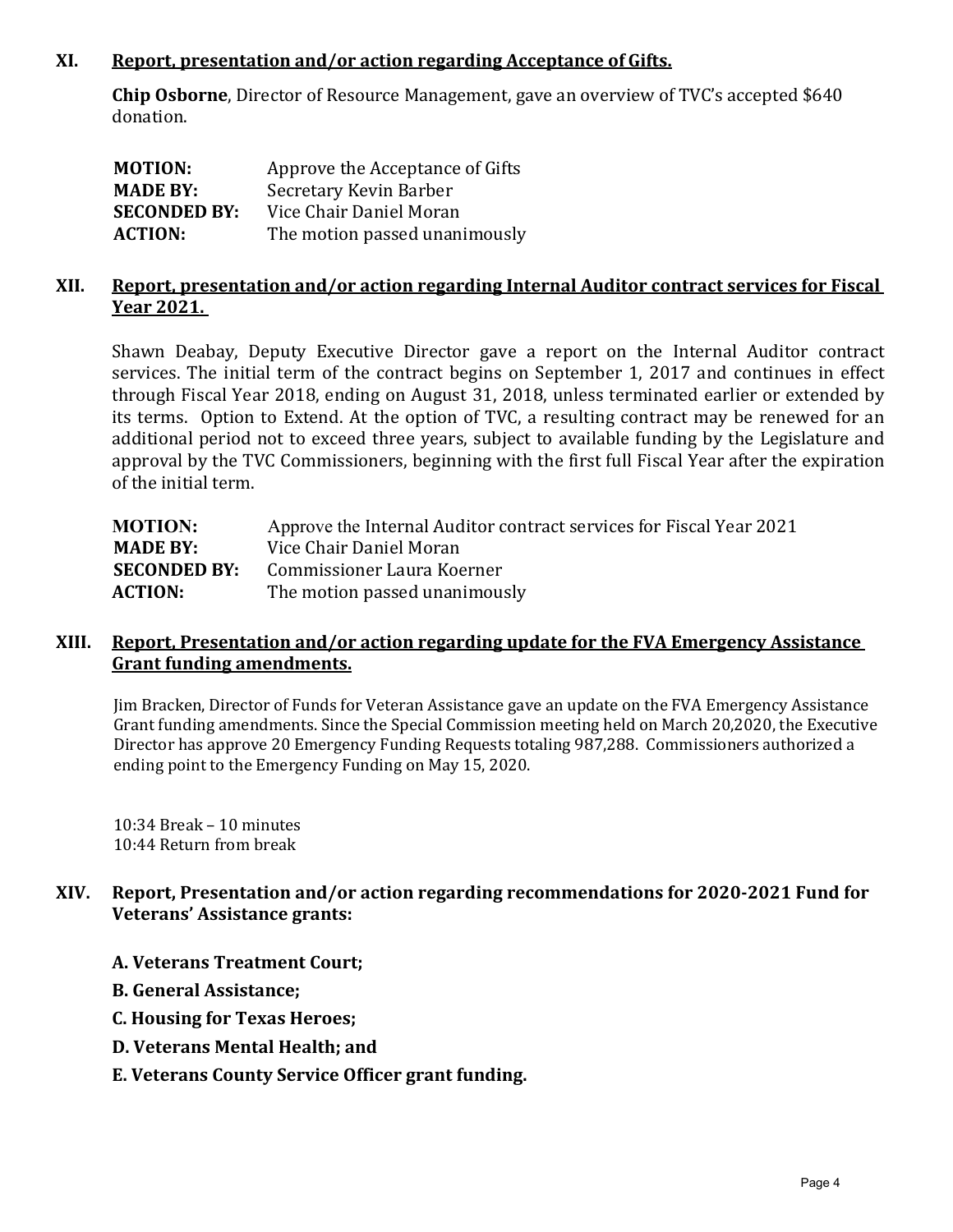#### **XI. Report, presentation and/or action regarding Acceptance of Gifts.**

**Chip Osborne**, Director of Resource Management, gave an overview of TVC's accepted \$640 donation.

| <b>MOTION:</b>      | Approve the Acceptance of Gifts |
|---------------------|---------------------------------|
| <b>MADE BY:</b>     | Secretary Kevin Barber          |
| <b>SECONDED BY:</b> | Vice Chair Daniel Moran         |
| <b>ACTION:</b>      | The motion passed unanimously   |

#### **XII. Report, presentation and/or action regarding Internal Auditor contract services for Fiscal Year 2021.**

Shawn Deabay, Deputy Executive Director gave a report on the Internal Auditor contract services. The initial term of the contract begins on September 1, 2017 and continues in effect through Fiscal Year 2018, ending on August 31, 2018, unless terminated earlier or extended by its terms. Option to Extend. At the option of TVC, a resulting contract may be renewed for an additional period not to exceed three years, subject to available funding by the Legislature and approval by the TVC Commissioners, beginning with the first full Fiscal Year after the expiration of the initial term.

| Approve the Internal Auditor contract services for Fiscal Year 2021 |
|---------------------------------------------------------------------|
| Vice Chair Daniel Moran                                             |
| Commissioner Laura Koerner                                          |
| The motion passed unanimously                                       |
|                                                                     |

#### **XIII. Report, Presentation and/or action regarding update for the FVA Emergency Assistance Grant funding amendments.**

Jim Bracken, Director of Funds for Veteran Assistance gave an update on the FVA Emergency Assistance Grant funding amendments. Since the Special Commission meeting held on March 20,2020, the Executive Director has approve 20 Emergency Funding Requests totaling 987,288. Commissioners authorized a ending point to the Emergency Funding on May 15, 2020.

10:34 Break – 10 minutes 10:44 Return from break

## **XIV. Report, Presentation and/or action regarding recommendations for 2020-2021 Fund for Veterans' Assistance grants:**

- **A. Veterans Treatment Court;**
- **B. General Assistance;**
- **C. Housing for Texas Heroes;**
- **D. Veterans Mental Health; and**
- **E. Veterans County Service Officer grant funding.**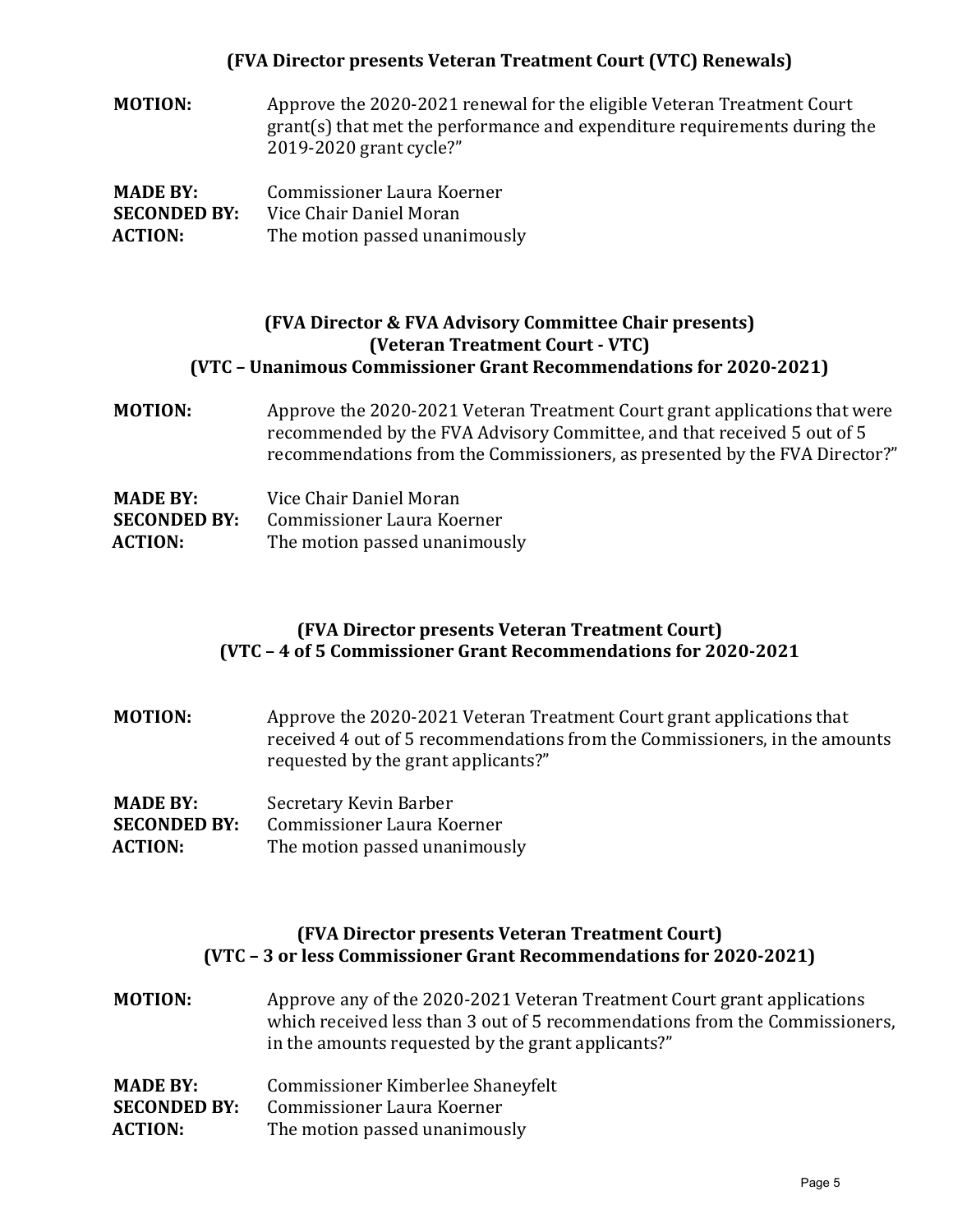#### **(FVA Director presents Veteran Treatment Court (VTC) Renewals)**

**MOTION:** Approve the 2020-2021 renewal for the eligible Veteran Treatment Court grant(s) that met the performance and expenditure requirements during the 2019-2020 grant cycle?"

| <b>MADE BY:</b>     | Commissioner Laura Koerner    |
|---------------------|-------------------------------|
| <b>SECONDED BY:</b> | Vice Chair Daniel Moran       |
| <b>ACTION:</b>      | The motion passed unanimously |

#### **(FVA Director & FVA Advisory Committee Chair presents) (Veteran Treatment Court - VTC) (VTC – Unanimous Commissioner Grant Recommendations for 2020-2021)**

**MOTION:** Approve the 2020-2021 Veteran Treatment Court grant applications that were recommended by the FVA Advisory Committee, and that received 5 out of 5 recommendations from the Commissioners, as presented by the FVA Director?"

| <b>MADE BY:</b>     | Vice Chair Daniel Moran       |
|---------------------|-------------------------------|
| <b>SECONDED BY:</b> | Commissioner Laura Koerner    |
| <b>ACTION:</b>      | The motion passed unanimously |

#### **(FVA Director presents Veteran Treatment Court) (VTC – 4 of 5 Commissioner Grant Recommendations for 2020-2021**

| <b>MOTION:</b> | Approve the 2020-2021 Veteran Treatment Court grant applications that      |
|----------------|----------------------------------------------------------------------------|
|                | received 4 out of 5 recommendations from the Commissioners, in the amounts |
|                | requested by the grant applicants?"                                        |
|                |                                                                            |

| <b>MADE BY:</b>     | Secretary Kevin Barber        |
|---------------------|-------------------------------|
| <b>SECONDED BY:</b> | Commissioner Laura Koerner    |
| <b>ACTION:</b>      | The motion passed unanimously |

#### **(FVA Director presents Veteran Treatment Court) (VTC – 3 or less Commissioner Grant Recommendations for 2020-2021)**

**MOTION:** Approve any of the 2020-2021 Veteran Treatment Court grant applications which received less than 3 out of 5 recommendations from the Commissioners, in the amounts requested by the grant applicants?"

| <b>MADE BY:</b>     | Commissioner Kimberlee Shaneyfelt |
|---------------------|-----------------------------------|
| <b>SECONDED BY:</b> | Commissioner Laura Koerner        |
| <b>ACTION:</b>      | The motion passed unanimously     |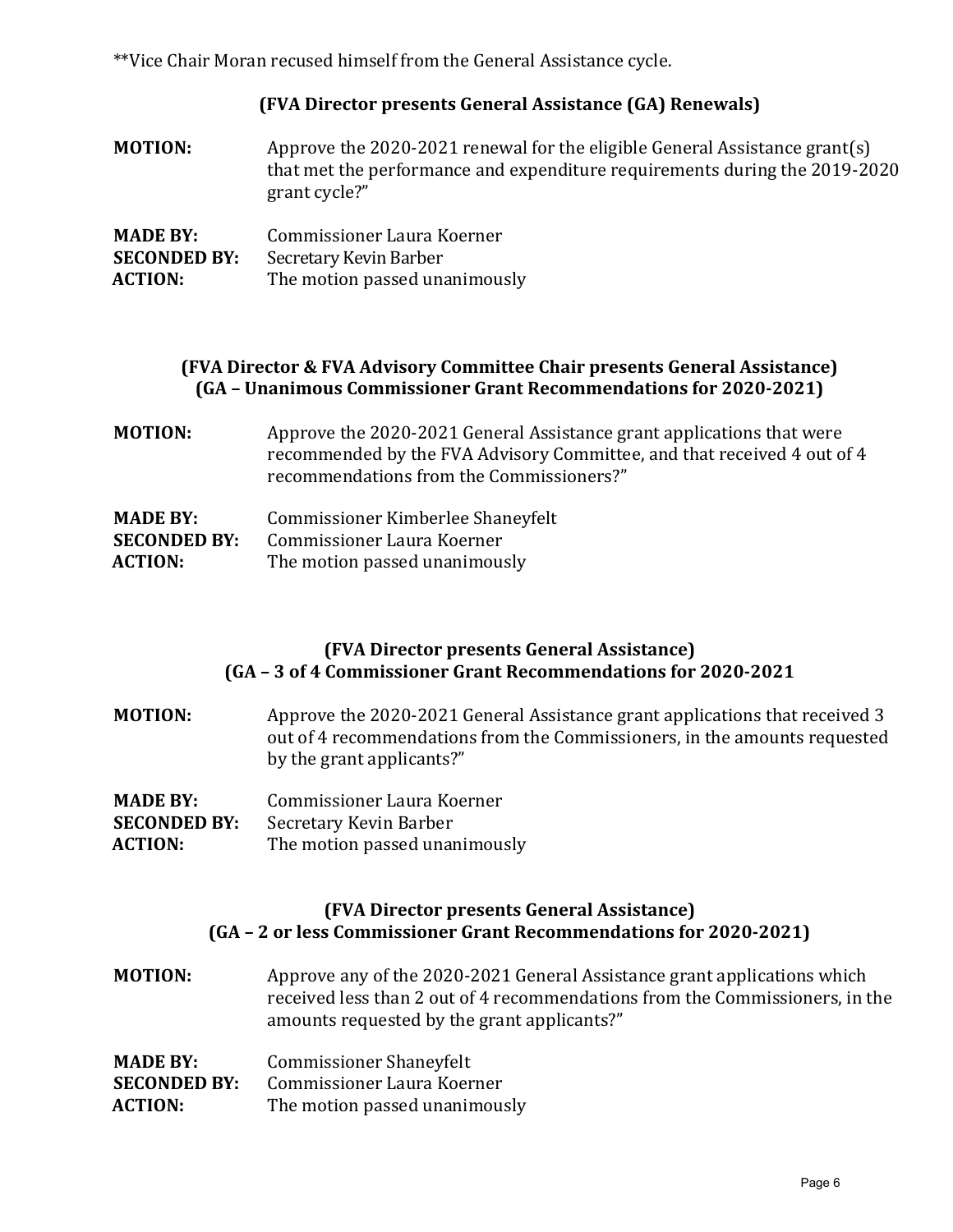\*\*Vice Chair Moran recused himself from the General Assistance cycle.

## **(FVA Director presents General Assistance (GA) Renewals)**

**MOTION:** Approve the 2020-2021 renewal for the eligible General Assistance grant(s) that met the performance and expenditure requirements during the 2019-2020 grant cycle?"

| <b>MADE BY:</b>     | Commissioner Laura Koerner    |
|---------------------|-------------------------------|
| <b>SECONDED BY:</b> | Secretary Kevin Barber        |
| <b>ACTION:</b>      | The motion passed unanimously |

## **(FVA Director & FVA Advisory Committee Chair presents General Assistance) (GA – Unanimous Commissioner Grant Recommendations for 2020-2021)**

**MOTION:** Approve the 2020-2021 General Assistance grant applications that were recommended by the FVA Advisory Committee, and that received 4 out of 4 recommendations from the Commissioners?"

| <b>MADE BY:</b>     | Commissioner Kimberlee Shaneyfelt |
|---------------------|-----------------------------------|
| <b>SECONDED BY:</b> | Commissioner Laura Koerner        |
| <b>ACTION:</b>      | The motion passed unanimously     |

## **(FVA Director presents General Assistance) (GA – 3 of 4 Commissioner Grant Recommendations for 2020-2021**

- **MOTION:** Approve the 2020-2021 General Assistance grant applications that received 3 out of 4 recommendations from the Commissioners, in the amounts requested by the grant applicants?"
- **MADE BY:** Commissioner Laura Koerner<br>**SECONDED BY:** Secretary Kevin Barber
- **SECONDED BY:** Secretary Kevin Barber<br>**ACTION:** The motion passed unar
- The motion passed unanimously

#### **(FVA Director presents General Assistance) (GA – 2 or less Commissioner Grant Recommendations for 2020-2021)**

**MOTION:** Approve any of the 2020-2021 General Assistance grant applications which received less than 2 out of 4 recommendations from the Commissioners, in the amounts requested by the grant applicants?"

| <b>MADE BY:</b>     | <b>Commissioner Shaneyfelt</b> |
|---------------------|--------------------------------|
| <b>SECONDED BY:</b> | Commissioner Laura Koerner     |
| <b>ACTION:</b>      | The motion passed unanimously  |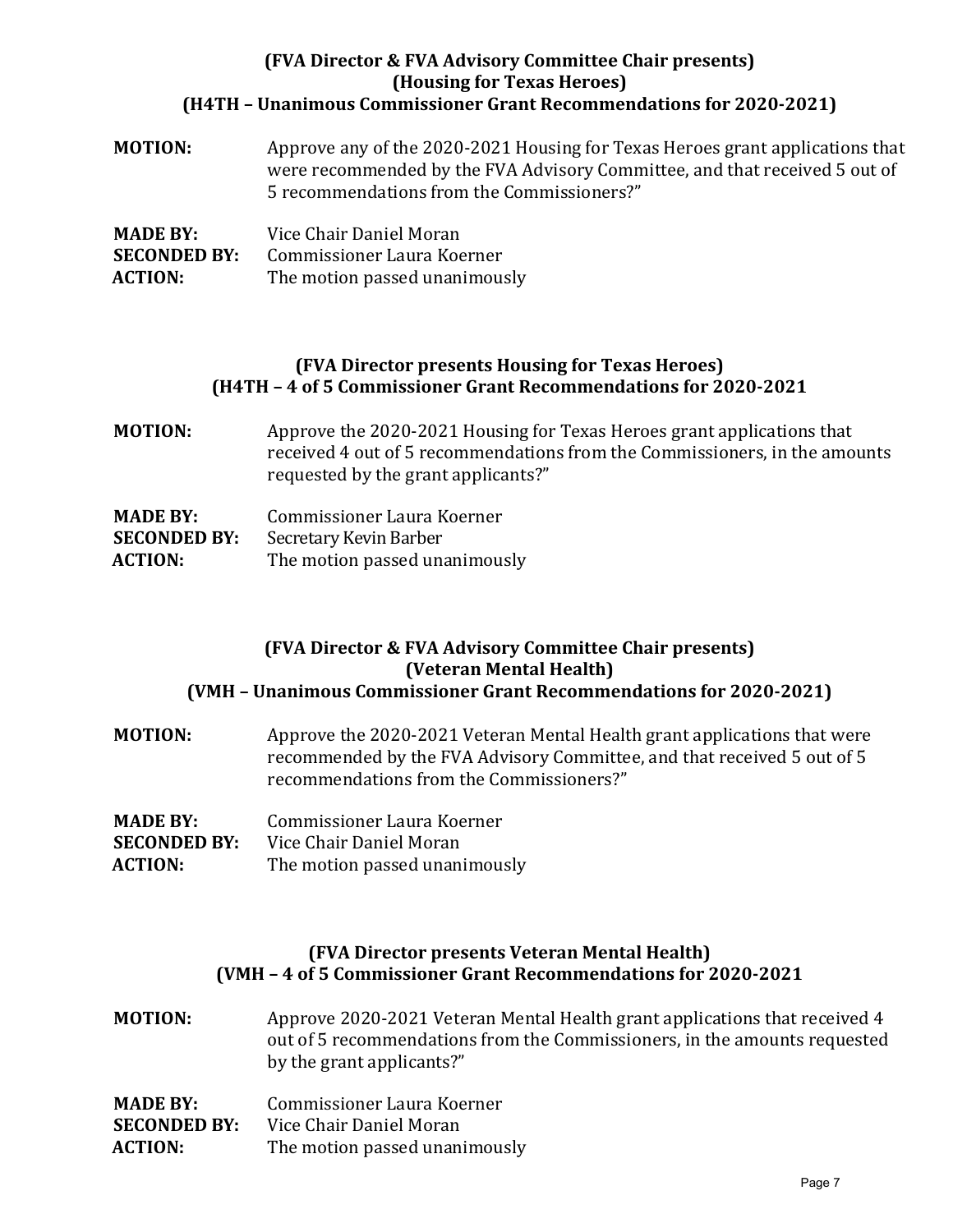## **(FVA Director & FVA Advisory Committee Chair presents) (Housing for Texas Heroes) (H4TH – Unanimous Commissioner Grant Recommendations for 2020-2021)**

| <b>MOTION:</b> | Approve any of the 2020-2021 Housing for Texas Heroes grant applications that |
|----------------|-------------------------------------------------------------------------------|
|                | were recommended by the FVA Advisory Committee, and that received 5 out of    |
|                | 5 recommendations from the Commissioners?"                                    |
|                |                                                                               |

| <b>MADE BY:</b>     | Vice Chair Daniel Moran       |
|---------------------|-------------------------------|
| <b>SECONDED BY:</b> | Commissioner Laura Koerner    |
| <b>ACTION:</b>      | The motion passed unanimously |

#### **(FVA Director presents Housing for Texas Heroes) (H4TH – 4 of 5 Commissioner Grant Recommendations for 2020-2021**

**MOTION:** Approve the 2020-2021 Housing for Texas Heroes grant applications that received 4 out of 5 recommendations from the Commissioners, in the amounts requested by the grant applicants?"

| <b>MADE BY:</b>     | Commissioner Laura Koerner    |
|---------------------|-------------------------------|
| <b>SECONDED BY:</b> | Secretary Kevin Barber        |
| <b>ACTION:</b>      | The motion passed unanimously |

#### **(FVA Director & FVA Advisory Committee Chair presents) (Veteran Mental Health) (VMH – Unanimous Commissioner Grant Recommendations for 2020-2021)**

- **MOTION:** Approve the 2020-2021 Veteran Mental Health grant applications that were recommended by the FVA Advisory Committee, and that received 5 out of 5 recommendations from the Commissioners?"
- **MADE BY:** Commissioner Laura Koerner<br>**SECONDED BY:** Vice Chair Daniel Moran
- **SECONDED BY:** Vice Chair Daniel Moran<br>**ACTION:** The motion passed unan
- The motion passed unanimously

## **(FVA Director presents Veteran Mental Health) (VMH – 4 of 5 Commissioner Grant Recommendations for 2020-2021**

**MOTION:** Approve 2020-2021 Veteran Mental Health grant applications that received 4 out of 5 recommendations from the Commissioners, in the amounts requested by the grant applicants?"

| <b>MADE BY:</b>     | Commissioner Laura Koerner    |
|---------------------|-------------------------------|
| <b>SECONDED BY:</b> | Vice Chair Daniel Moran       |
| <b>ACTION:</b>      | The motion passed unanimously |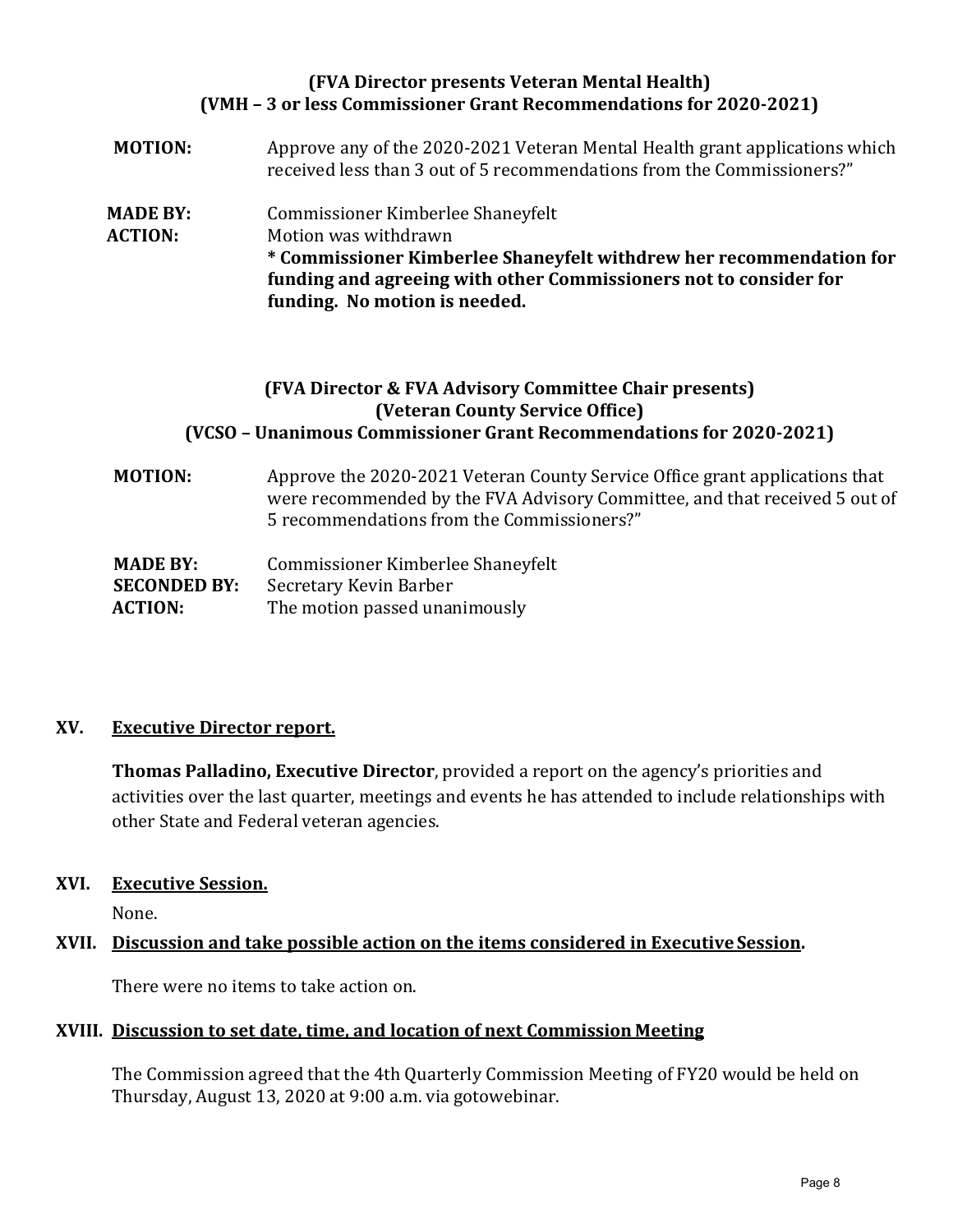## **(FVA Director presents Veteran Mental Health) (VMH – 3 or less Commissioner Grant Recommendations for 2020-2021)**

**MOTION:** Approve any of the 2020-2021 Veteran Mental Health grant applications which received less than 3 out of 5 recommendations from the Commissioners?" **MADE BY:** Commissioner Kimberlee Shaneyfelt<br>**ACTION:** Motion was withdrawn **Motion was withdrawn \* Commissioner Kimberlee Shaneyfelt withdrew her recommendation for funding and agreeing with other Commissioners not to consider for funding. No motion is needed.**

## **(FVA Director & FVA Advisory Committee Chair presents) (Veteran County Service Office) (VCSO – Unanimous Commissioner Grant Recommendations for 2020-2021)**

**MOTION:** Approve the 2020-2021 Veteran County Service Office grant applications that were recommended by the FVA Advisory Committee, and that received 5 out of 5 recommendations from the Commissioners?"

| <b>MADE BY:</b>     | Commissioner Kimberlee Shaneyfelt |
|---------------------|-----------------------------------|
| <b>SECONDED BY:</b> | Secretary Kevin Barber            |
| <b>ACTION:</b>      | The motion passed unanimously     |

## **XV. Executive Director report.**

**Thomas Palladino, Executive Director**, provided a report on the agency's priorities and activities over the last quarter, meetings and events he has attended to include relationships with other State and Federal veteran agencies.

## **XVI. Executive Session.**

None.

## **XVII. Discussion and take possible action on the items considered in Executive Session.**

There were no items to take action on.

## **XVIII. Discussion to set date, time, and location of next Commission Meeting**

The Commission agreed that the 4th Quarterly Commission Meeting of FY20 would be held on Thursday, August 13, 2020 at 9:00 a.m. via gotowebinar.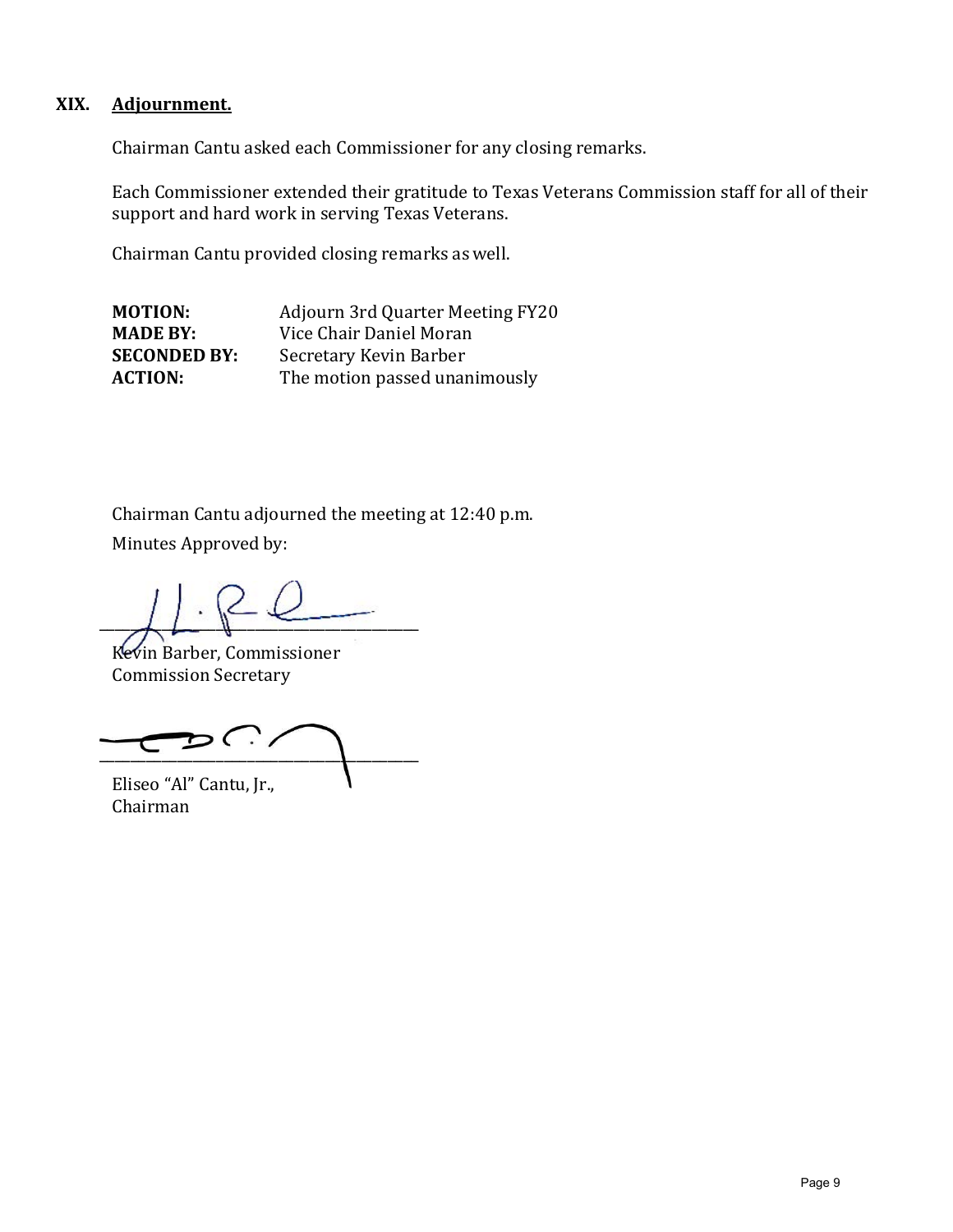## **XIX. Adjournment.**

Chairman Cantu asked each Commissioner for any closing remarks.

Each Commissioner extended their gratitude to Texas Veterans Commission staff for all of their support and hard work in serving Texas Veterans.

Chairman Cantu provided closing remarks aswell.

**MOTION:** Adjourn 3rd Quarter Meeting FY20<br> **MADE BY:** Vice Chair Daniel Moran **MADE BY:** Vice Chair Daniel Moran<br>**SECONDED BY:** Secretary Kevin Barber **SECONDED BY:** Secretary Kevin Barber<br>**ACTION:** The motion passed unar The motion passed unanimously

Chairman Cantu adjourned the meeting at 12:40 p.m. Minutes Approved by:

 $\overline{A}$ 

Kevin Barber, Commissioner Commission Secretary

 $\mathcal{D} \subset \mathcal{D}$  $\overline{\phantom{a}}$ 

Eliseo "Al" Cantu, Jr., Chairman